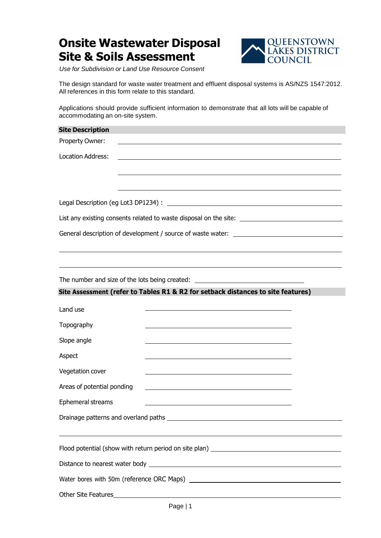## **Onsite Wastewater Disposal Site & Soils Assessment**



*Use for Subdivision or Land Use Resource Consent* 

The design standard for waste water treatment and effluent disposal systems is AS/NZS 1547:2012. All references in this form relate to this standard.

Applications should provide sufficient information to demonstrate that all lots will be capable of accommodating an on-site system.

| <b>Site Description</b>                        |                                                                                                                  |  |  |
|------------------------------------------------|------------------------------------------------------------------------------------------------------------------|--|--|
| Property Owner:                                |                                                                                                                  |  |  |
| <b>Location Address:</b>                       | the contract of the contract of the contract of the contract of the contract of the contract of the contract of  |  |  |
|                                                | and the control of the control of the control of the control of the control of the control of the control of the |  |  |
|                                                | and the control of the control of the control of the control of the control of the control of the control of the |  |  |
|                                                |                                                                                                                  |  |  |
|                                                | List any existing consents related to waste disposal on the site: __________________________________             |  |  |
|                                                | General description of development / source of waste water: _____________________                                |  |  |
|                                                |                                                                                                                  |  |  |
|                                                |                                                                                                                  |  |  |
| The number and size of the lots being created: |                                                                                                                  |  |  |
|                                                | Site Assessment (refer to Tables R1 & R2 for setback distances to site features)                                 |  |  |
| Land use                                       | the control of the control of the control of the control of the control of the control of                        |  |  |
| Topography                                     | the control of the control of the control of the control of the control of the control of                        |  |  |
| Slope angle                                    | the control of the control of the control of the control of the control of the control of                        |  |  |
| Aspect                                         |                                                                                                                  |  |  |
| Vegetation cover                               |                                                                                                                  |  |  |
| Areas of potential ponding                     |                                                                                                                  |  |  |
| Ephemeral streams                              |                                                                                                                  |  |  |
|                                                |                                                                                                                  |  |  |
|                                                |                                                                                                                  |  |  |
|                                                |                                                                                                                  |  |  |
|                                                |                                                                                                                  |  |  |
|                                                |                                                                                                                  |  |  |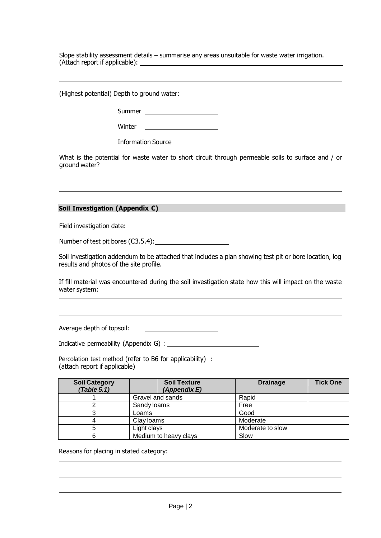Slope stability assessment details – summarise any areas unsuitable for waste water irrigation. (Attach report if applicable):

(Highest potential) Depth to ground water:

Summer
<u>
\_\_\_\_\_\_\_\_\_\_\_\_\_\_\_\_\_\_\_\_\_</u>

Winter

Information Source

What is the potential for waste water to short circuit through permeable soils to surface and / or ground water?

## **Soil Investigation (Appendix C)**

Field investigation date:

Number of test pit bores (C3.5.4):

Soil investigation addendum to be attached that includes a plan showing test pit or bore location, log results and photos of the site profile.

If fill material was encountered during the soil investigation state how this will impact on the waste water system:

Average depth of topsoil:

Indicative permeability (Appendix G) :

Percolation test method (refer to B6 for applicability) : \_\_\_\_\_\_\_\_\_\_\_\_\_\_\_\_\_\_\_\_\_\_\_ (attach report if applicable)

| <b>Soil Category</b><br>(Table 5.1) | <b>Soil Texture</b><br>(Appendix E) | <b>Drainage</b>  | <b>Tick One</b> |
|-------------------------------------|-------------------------------------|------------------|-----------------|
|                                     | Gravel and sands                    | Rapid            |                 |
|                                     | Sandy loams                         | Free             |                 |
|                                     | Loams                               | Good             |                 |
|                                     | Clay loams                          | Moderate         |                 |
|                                     | Light clays                         | Moderate to slow |                 |
|                                     | Medium to heavy clays               | Slow             |                 |

Reasons for placing in stated category: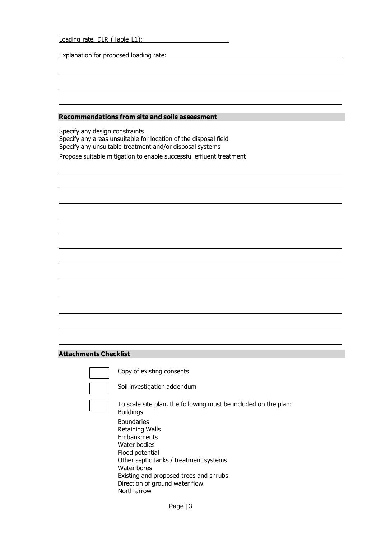Loading rate, DLR (Table L1):

Explanation for proposed loading rate:

## **Recommendations from site and soils assessment**

Specify any design constraints Specify any areas unsuitable for location of the disposal field Specify any unsuitable treatment and/or disposal systems Propose suitable mitigation to enable successful effluent treatment

## **Attachments Checklist**

Copy of existing consents

Soil investigation addendum

To scale site plan, the following must be included on the plan: Buildings Boundaries Retaining Walls Embankments Water bodies Flood potential Other septic tanks / treatment systems Water bores Existing and proposed trees and shrubs Direction of ground water flow North arrow